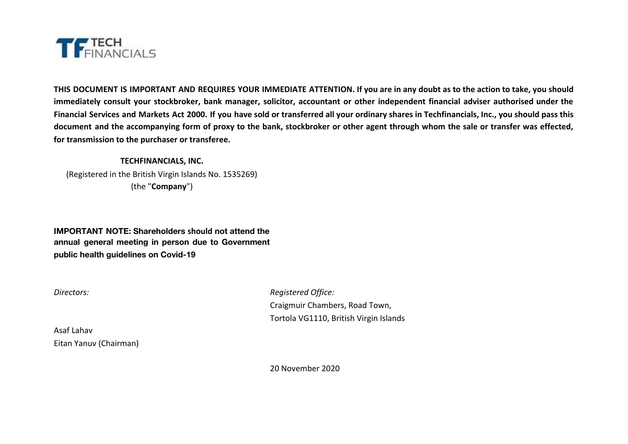

THIS DOCUMENT IS IMPORTANT AND REQUIRES YOUR IMMEDIATE ATTENTION. If you are in any doubt as to the action to take, you should immediately consult your stockbroker, bank manager, solicitor, accountant or other independent financial adviser authorised under the Financial Services and Markets Act 2000. If you have sold or transferred all your ordinary shares in Techfinancials, Inc., you should pass this document and the accompanying form of proxy to the bank, stockbroker or other agent through whom the sale or transfer was effected, **for transmission to the purchaser or transferee.**

# **TECHFINANCIALS, INC.** (Registered in the British Virgin Islands No. 1535269) (the "**Company**")

**IMPORTANT NOTE: Shareholders should not attend the annual general meeting in person due to Government public health guidelines on Covid-19**

*Directors: Registered Office:* Craigmuir Chambers, Road Town, Tortola VG1110, British Virgin Islands

Asaf Lahav Eitan Yanuv (Chairman)

20 November 2020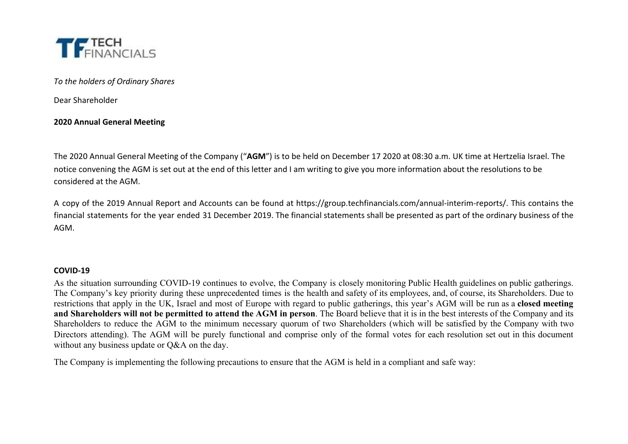

*To the holders of Ordinary Shares*

Dear Shareholder

# **2020 Annual General Meeting**

The 2020 Annual General Meeting of the Company ("**AGM**") is to be held on December 17 2020 at 08:30 a.m. UK time at Hertzelia Israel. The notice convening the AGM is set out at the end of this letter and I am writing to give you more information about the resolutions to be considered at the AGM.

A copy of the 2019 Annual Report and Accounts can be found at https://group.techfinancials.com/annual-interim-reports/. This contains the financial statements for the year ended 31 December 2019. The financial statements shall be presented as part of the ordinary business of the AGM.

# **COVID-19**

As the situation surrounding COVID-19 continues to evolve, the Company is closely monitoring Public Health guidelines on public gatherings. The Company's key priority during these unprecedented times is the health and safety of its employees, and, of course, its Shareholders. Due to restrictions that apply in the UK, Israel and most of Europe with regard to public gatherings, this year's AGM will be run as a **closed meeting** and Shareholders will not be permitted to attend the AGM in person. The Board believe that it is in the best interests of the Company and its Shareholders to reduce the AGM to the minimum necessary quorum of two Shareholders (which will be satisfied by the Company with two Directors attending). The AGM will be purely functional and comprise only of the formal votes for each resolution set out in this document without any business update or O&A on the day.

The Company is implementing the following precautions to ensure that the AGM is held in a compliant and safe way: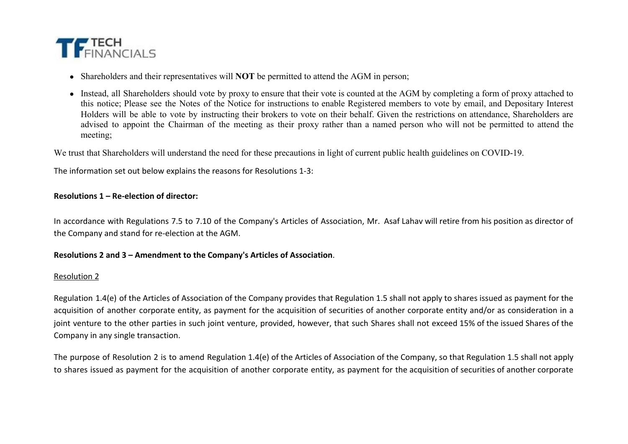

- Shareholders and their representatives will **NOT** be permitted to attend the AGM in person;
- Instead, all Shareholders should vote by proxy to ensure that their vote is counted at the AGM by completing a form of proxy attached to this notice; Please see the Notes of the Notice for instructions to enable Registered members to vote by email, and Depositary Interest Holders will be able to vote by instructing their brokers to vote on their behalf. Given the restrictions on attendance, Shareholders are advised to appoint the Chairman of the meeting as their proxy rather than a named person who will not be permitted to attend the meeting;

We trust that Shareholders will understand the need for these precautions in light of current public health guidelines on COVID-19.

The information set out below explains the reasons for Resolutions 1-3:

# **Resolutions 1 – Re-election of director:**

In accordance with Regulations 7.5 to 7.10 of the Company's Articles of Association, Mr. Asaf Lahav will retire from his position as director of the Company and stand for re-election at the AGM.

#### **Resolutions 2 and 3 – Amendment to the Company's Articles of Association**.

#### Resolution 2

Regulation 1.4(e) of the Articles of Association of the Company provides that Regulation 1.5 shall not apply to shares issued as payment for the acquisition of another corporate entity, as payment for the acquisition of securities of another corporate entity and/or as consideration in a joint venture to the other parties in such joint venture, provided, however, that such Shares shall not exceed 15% of the issued Shares of the Company in any single transaction.

The purpose of Resolution 2 is to amend Regulation 1.4(e) of the Articles of Association of the Company, so that Regulation 1.5 shall not apply to shares issued as payment for the acquisition of another corporate entity, as payment for the acquisition of securities of another corporate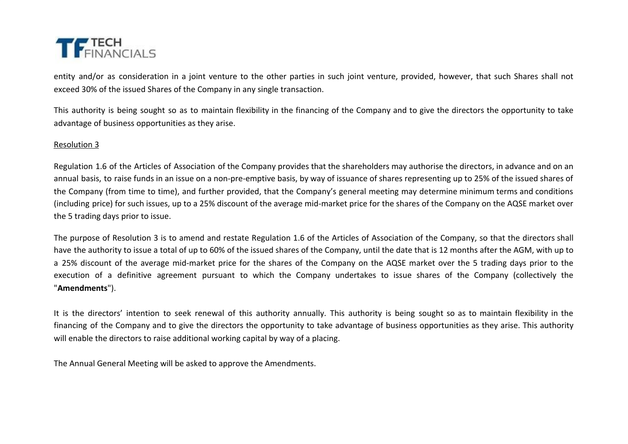

entity and/or as consideration in a joint venture to the other parties in such joint venture, provided, however, that such Shares shall not exceed 30% of the issued Shares of the Company in any single transaction.

This authority is being sought so as to maintain flexibility in the financing of the Company and to give the directors the opportunity to take advantage of business opportunities as they arise.

### Resolution 3

Regulation 1.6 of the Articles of Association of the Company provides that the shareholders may authorise the directors, in advance and on an annual basis, to raise funds in an issue on a non-pre-emptive basis, by way of issuance of shares representing up to 25% of the issued shares of the Company (from time to time), and further provided, that the Company's general meeting may determine minimum terms and conditions (including price) for such issues, up to a 25% discount of the average mid-market price for the shares of the Company on the AQSE market over the 5 trading days prior to issue.

The purpose of Resolution 3 is to amend and restate Regulation 1.6 of the Articles of Association of the Company, so that the directors shall have the authority to issue a total of up to 60% of the issued shares of the Company, until the date that is 12 months after the AGM, with up to a 25% discount of the average mid-market price for the shares of the Company on the AQSE market over the 5 trading days prior to the execution of a definitive agreement pursuant to which the Company undertakes to issue shares of the Company (collectively the "**Amendments**").

It is the directors' intention to seek renewal of this authority annually. This authority is being sought so as to maintain flexibility in the financing of the Company and to give the directors the opportunity to take advantage of business opportunities as they arise. This authority will enable the directors to raise additional working capital by way of a placing.

The Annual General Meeting will be asked to approve the Amendments.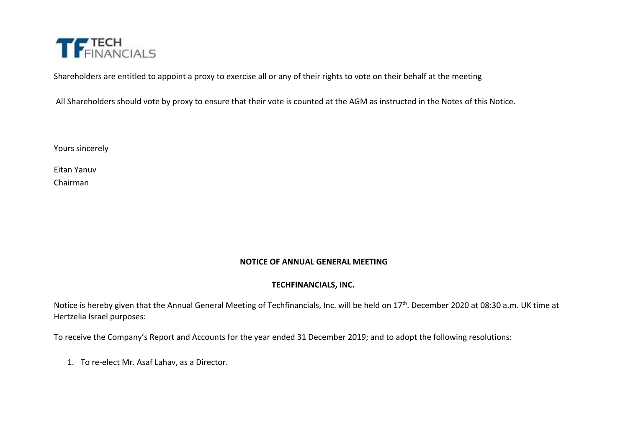

Shareholders are entitled to appoint a proxy to exercise all or any of their rights to vote on their behalf at the meeting

All Shareholders should vote by proxy to ensure that their vote is counted at the AGM as instructed in the Notes of this Notice.

Yours sincerely

Eitan Yanuv

Chairman

# **NOTICE OF ANNUAL GENERAL MEETING**

# **TECHFINANCIALS, INC.**

Notice is hereby given that the Annual General Meeting of Techfinancials, Inc. will be held on 17<sup>th</sup>. December 2020 at 08:30 a.m. UK time at Hertzelia Israel purposes:

To receive the Company's Report and Accounts for the year ended 31 December 2019; and to adopt the following resolutions:

1. To re-elect Mr. Asaf Lahav, as a Director.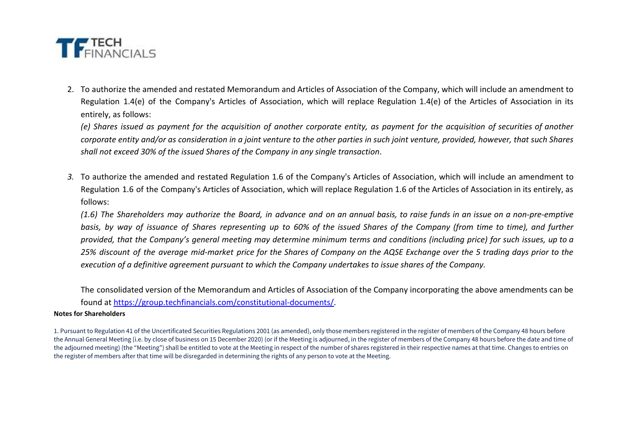

2. To authorize the amended and restated Memorandum and Articles of Association of the Company, which will include an amendment to Regulation 1.4(e) of the Company's Articles of Association, which will replace Regulation 1.4(e) of the Articles of Association in its entirely, as follows:

(e) Shares issued as payment for the acquisition of another corporate entity, as payment for the acquisition of securities of another corporate entity and/or as consideration in a joint venture to the other parties in such joint venture, provided, however, that such Shares *shall not exceed 30% of the issued Shares of the Company in any single transaction*.

*3.* To authorize the amended and restated Regulation 1.6 of the Company's Articles of Association, which will include an amendment to Regulation 1.6 of the Company's Articles of Association, which will replace Regulation 1.6 of the Articles of Association in its entirely, as follows:

(1.6) The Shareholders may authorize the Board, in advance and on an annual basis, to raise funds in an issue on a non-pre-emptive basis, by way of issuance of Shares representing up to 60% of the issued Shares of the Company (from time to time), and further provided, that the Company's general meeting may determine minimum terms and conditions (including price) for such issues, up to a 25% discount of the average mid-market price for the Shares of Company on the AQSE Exchange over the 5 trading days prior to the *execution of a definitive agreement pursuant to which the Company undertakes to issue shares of the Company.*

The consolidated version of the Memorandum and Articles of Association of the Company incorporating the above amendments can be found at<https://group.techfinancials.com/constitutional-documents/>.

#### **Notes for Shareholders**

<sup>1.</sup> Pursuant to Regulation 41 of the Uncertificated Securities Regulations 2001 (as amended), only those members registered in the register of members of the Company 48 hours before the Annual General Meeting (i.e. by close of business on 15 December 2020) (or if the Meeting is adjourned, in the register of members of the Company 48 hours before the date and time of the adjourned meeting) (the "Meeting") shall be entitled to vote at the Meeting in respect of the number of shares registered in their respective names at that time. Changes to entries on the register of members after that time will be disregarded in determining the rights of any person to vote at the Meeting.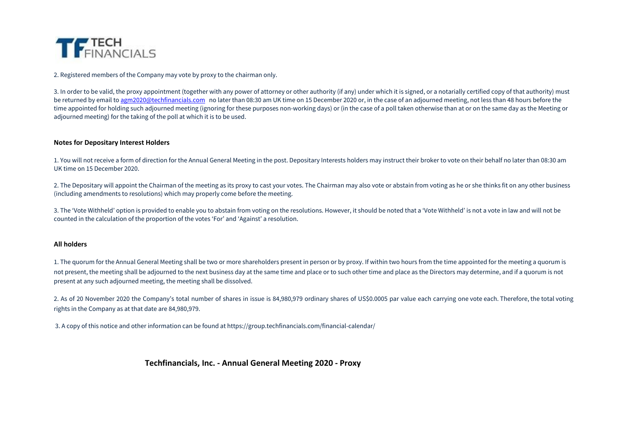

2. Registered members of the Company may vote by proxy to the chairman only.

3. In order to be valid, the proxy appointment (together with any power of attorney or other authority (if any) under which it is signed, or a notarially certified copy of that authority) must be returned by email to [agm2020@techfinancials.com](mailto:agm2020@techfinancials.com) no later than 08:30 am UK time on 15 December 2020 or, in the case of an adjourned meeting, not less than 48 hours before the time appointed for holding such adjourned meeting (ignoring for these purposes non-working days) or (in the case of a poll taken otherwise than at or on the same day as the Meeting or adjourned meeting) for the taking of the poll at which it is to be used.

#### **Notes for Depositary Interest Holders**

1. You will not receive a form of direction for the Annual General Meeting in the post. Depositary Interests holders may instruct their broker to vote on their behalf no later than 08:30 am UK time on 15 December 2020.

2. The Depositary will appoint the Chairman of the meeting as its proxy to cast your votes. The Chairman may also vote or abstain from voting as he or she thinks fit on any other business (including amendments to resolutions) which may properly come before the meeting.

3. The 'Vote Withheld' option is provided to enable you to abstain from voting on the resolutions. However, it should be noted that a 'Vote Withheld' is not a vote in law and will not be counted in the calculation of the proportion of the votes 'For' and 'Against' a resolution.

#### **All holders**

1. The quorum for the Annual General Meeting shall be two or more shareholders present in person or by proxy. If within two hours from the time appointed for the meeting a quorum is not present, the meeting shall be adjourned to the next business day at the same time and place or to such other time and place as the Directors may determine, and if a quorum is not present at any such adjourned meeting, the meeting shall be dissolved.

2. As of 20 November 2020 the Company's total number of shares in issue is 84,980,979 ordinary shares of US\$0.0005 par value each carrying one vote each. Therefore, the total voting rights in the Company as at that date are 84,980,979.

3. A copy of this notice and other information can be found at https://group.techfinancials.com/financial-calendar/

#### **Techfinancials, Inc. - Annual General Meeting 2020 - Proxy**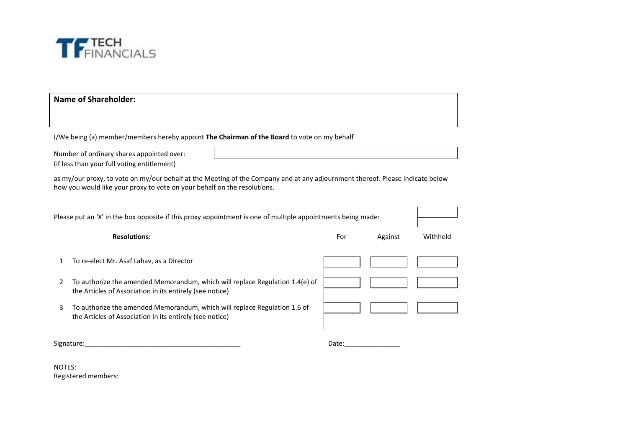

# **Name of Shareholder:**

I/We being (a) member/members hereby appoint **The Chairman of the Board** to vote on my behalf

Number of ordinary shares appointed over: (if less than your full voting entitlement)

as my/our proxy, to vote on my/our behalf at the Meeting of the Company and at any adjournment thereof. Please indicate below how you would like your proxy to vote on your behalf on the resolutions.

| Please put an 'X' in the box opposite if this proxy appointment is one of multiple appointments being made: |                                                                                                                                          |       |         |          |
|-------------------------------------------------------------------------------------------------------------|------------------------------------------------------------------------------------------------------------------------------------------|-------|---------|----------|
|                                                                                                             | <b>Resolutions:</b>                                                                                                                      | For   | Against | Withheld |
| 1                                                                                                           | To re-elect Mr. Asaf Lahav, as a Director                                                                                                |       |         |          |
| 2                                                                                                           | To authorize the amended Memorandum, which will replace Regulation 1.4(e) of<br>the Articles of Association in its entirely (see notice) |       |         |          |
| 3                                                                                                           | To authorize the amended Memorandum, which will replace Regulation 1.6 of<br>the Articles of Association in its entirely (see notice)    |       |         |          |
| Signature:                                                                                                  |                                                                                                                                          | Date: |         |          |

NOTES: Registered members: